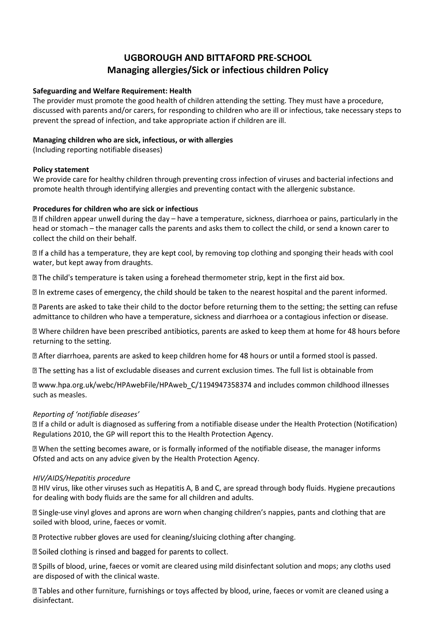# **UGBOROUGH AND BITTAFORD PRE-SCHOOL Managing allergies/Sick or infectious children Policy**

### **Safeguarding and Welfare Requirement: Health**

The provider must promote the good health of children attending the setting. They must have a procedure, discussed with parents and/or carers, for responding to children who are ill or infectious, take necessary steps to prevent the spread of infection, and take appropriate action if children are ill.

## **Managing children who are sick, infectious, or with allergies**

(Including reporting notifiable diseases)

## **Policy statement**

We provide care for healthy children through preventing cross infection of viruses and bacterial infections and promote health through identifying allergies and preventing contact with the allergenic substance.

## **Procedures for children who are sick or infectious**

 $\Box$  If children appear unwell during the day – have a temperature, sickness, diarrhoea or pains, particularly in the head or stomach – the manager calls the parents and asks them to collect the child, or send a known carer to collect the child on their behalf.

 $\mathbb B$  If a child has a temperature, they are kept cool, by removing top clothing and sponging their heads with cool water, but kept away from draughts.

I The child's temperature is taken using a forehead thermometer strip, kept in the first aid box.

 $\mathbb D$  In extreme cases of emergency, the child should be taken to the nearest hospital and the parent informed.

■ Parents are asked to take their child to the doctor before returning them to the setting; the setting can refuse admittance to children who have a temperature, sickness and diarrhoea or a contagious infection or disease.

**If Where children have been prescribed antibiotics, parents are asked to keep them at home for 48 hours before** returning to the setting.

I After diarrhoea, parents are asked to keep children home for 48 hours or until a formed stool is passed.

**If** the setting has a list of excludable diseases and current exclusion times. The full list is obtainable from

a www.hpa.org.uk/webc/HPAwebFile/HPAweb\_C/1194947358374 and includes common childhood illnesses such as measles.

# *Reporting of 'notifiable diseases'*

a child or adult is diagnosed as suffering from a notifiable disease under the Health Protection (Notification) Regulations 2010, the GP will report this to the Health Protection Agency.

If When the setting becomes aware, or is formally informed of the notifiable disease, the manager informs Ofsted and acts on any advice given by the Health Protection Agency.

#### *HIV/AIDS/Hepatitis procedure*

**Z** HIV virus, like other viruses such as Hepatitis A, B and C, are spread through body fluids. Hygiene precautions for dealing with body fluids are the same for all children and adults.

■ Single-use vinyl gloves and aprons are worn when changing children's nappies, pants and clothing that are soiled with blood, urine, faeces or vomit.

sqrt2 Protective rubber gloves are used for cleaning/sluicing clothing after changing.

**If** Soiled clothing is rinsed and bagged for parents to collect.

**D** Spills of blood, urine, faeces or vomit are cleared using mild disinfectant solution and mops; any cloths used are disposed of with the clinical waste.

I Tables and other furniture, furnishings or toys affected by blood, urine, faeces or vomit are cleaned using a disinfectant.